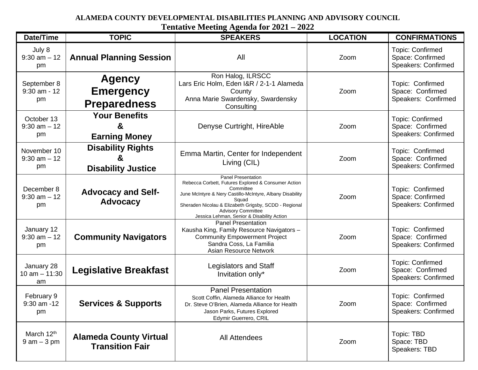## **ALAMEDA COUNTY DEVELOPMENTAL DISABILITIES PLANNING AND ADVISORY COUNCIL**

**Tentative Meeting Agenda for 2021 – 2022**

| Date/Time                                | <b>TOPIC</b>                                               | <b>SPEAKERS</b>                                                                                                                                                                                                                                                                                         | <b>LOCATION</b> | <b>CONFIRMATIONS</b>                                               |
|------------------------------------------|------------------------------------------------------------|---------------------------------------------------------------------------------------------------------------------------------------------------------------------------------------------------------------------------------------------------------------------------------------------------------|-----------------|--------------------------------------------------------------------|
| July 8<br>$9:30$ am $-12$<br>pm          | <b>Annual Planning Session</b>                             | All                                                                                                                                                                                                                                                                                                     | Zoom            | <b>Topic: Confirmed</b><br>Space: Confirmed<br>Speakers: Confirmed |
| September 8<br>$9:30$ am - 12<br>pm      | <b>Agency</b><br><b>Emergency</b><br><b>Preparedness</b>   | Ron Halog, ILRSCC<br>Lars Eric Holm, Eden I&R / 2-1-1 Alameda<br>County<br>Anna Marie Swardensky, Swardensky<br>Consulting                                                                                                                                                                              | Zoom            | Topic: Confirmed<br>Space: Confirmed<br>Speakers: Confirmed        |
| October 13<br>$9:30$ am $-12$<br>pm      | <b>Your Benefits</b><br>&<br><b>Earning Money</b>          | Denyse Curtright, HireAble                                                                                                                                                                                                                                                                              | Zoom            | <b>Topic: Confirmed</b><br>Space: Confirmed<br>Speakers: Confirmed |
| November 10<br>$9:30$ am $-12$<br>pm     | <b>Disability Rights</b><br>ă<br><b>Disability Justice</b> | Emma Martin, Center for Independent<br>Living (CIL)                                                                                                                                                                                                                                                     | Zoom            | Topic: Confirmed<br>Space: Confirmed<br>Speakers: Confirmed        |
| December 8<br>$9:30$ am $-12$<br>pm      | <b>Advocacy and Self-</b><br><b>Advocacy</b>               | <b>Panel Presentation</b><br>Rebecca Corbett, Futures Explored & Consumer Action<br>Committee<br>June McIntyre & Nery Castillo-McIntyre, Albany Disability<br>Squad<br>Sheraden Nicolau & Elizabeth Grigsby, SCDD - Regional<br><b>Advisory Committee</b><br>Jessica Lehman, Senior & Disability Action | Zoom            | Topic: Confirmed<br>Space: Confirmed<br><b>Speakers: Confirmed</b> |
| January 12<br>$9:30$ am $-12$<br>pm      | <b>Community Navigators</b>                                | <b>Panel Presentation</b><br>Kausha King, Family Resource Navigators -<br><b>Community Empowerment Project</b><br>Sandra Coss, La Familia<br>Asian Resource Network                                                                                                                                     | Zoom            | Topic: Confirmed<br>Space: Confirmed<br>Speakers: Confirmed        |
| January 28<br>10 $am - 11:30$<br>am      | <b>Legislative Breakfast</b>                               | <b>Legislators and Staff</b><br>Invitation only*                                                                                                                                                                                                                                                        | Zoom            | <b>Topic: Confirmed</b><br>Space: Confirmed<br>Speakers: Confirmed |
| February 9<br>9:30 am -12<br>pm          | <b>Services &amp; Supports</b>                             | <b>Panel Presentation</b><br>Scott Coffin, Alameda Alliance for Health<br>Dr. Steve O'Brien, Alameda Alliance for Health<br>Jason Parks, Futures Explored<br>Edymir Guerrero, CRIL                                                                                                                      | Zoom            | Topic: Confirmed<br>Space: Confirmed<br><b>Speakers: Confirmed</b> |
| March 12 <sup>th</sup><br>$9$ am $-3$ pm | <b>Alameda County Virtual</b><br><b>Transition Fair</b>    | <b>All Attendees</b>                                                                                                                                                                                                                                                                                    | Zoom            | Topic: TBD<br>Space: TBD<br>Speakers: TBD                          |